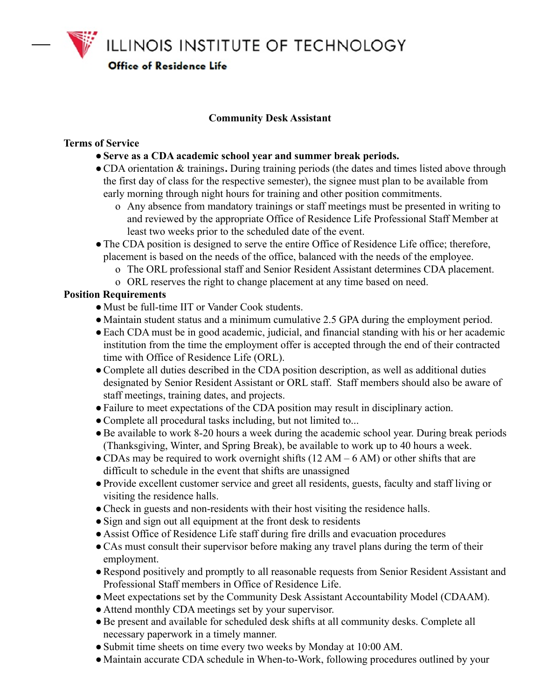ILLINOIS INSTITUTE OF TECHNOLOGY

**Office of Residence Life** 

# **Community Desk Assistant**

#### **Terms of Service**

- ●**Serve as a CDA academic school year and summer break periods.**
- ●CDA orientation & trainings**.** During training periods (the dates and times listed above through the first day of class for the respective semester), the signee must plan to be available from early morning through night hours for training and other position commitments.
	- o Any absence from mandatory trainings or staff meetings must be presented in writing to and reviewed by the appropriate Office of Residence Life Professional Staff Member at least two weeks prior to the scheduled date of the event.
- The CDA position is designed to serve the entire Office of Residence Life office; therefore, placement is based on the needs of the office, balanced with the needs of the employee.
	- o The ORL professional staff and Senior Resident Assistant determines CDA placement.
	- o ORL reserves the right to change placement at any time based on need.

### **Position Requirements**

- ●Must be full-time IIT or Vander Cook students.
- ●Maintain student status and a minimum cumulative 2.5 GPA during the employment period.
- Each CDA must be in good academic, judicial, and financial standing with his or her academic institution from the time the employment offer is accepted through the end of their contracted time with Office of Residence Life (ORL).
- ●Complete all duties described in the CDA position description, as well as additional duties designated by Senior Resident Assistant or ORL staff. Staff members should also be aware of staff meetings, training dates, and projects.
- ●Failure to meet expectations of the CDA position may result in disciplinary action.
- Complete all procedural tasks including, but not limited to...
- ●Be available to work 8-20 hours a week during the academic school year. During break periods (Thanksgiving, Winter, and Spring Break), be available to work up to 40 hours a week.
- $\bullet$  CDAs may be required to work overnight shifts (12 AM 6 AM) or other shifts that are difficult to schedule in the event that shifts are unassigned
- ●Provide excellent customer service and greet all residents, guests, faculty and staff living or visiting the residence halls.
- Check in guests and non-residents with their host visiting the residence halls.
- Sign and sign out all equipment at the front desk to residents
- Assist Office of Residence Life staff during fire drills and evacuation procedures
- CAs must consult their supervisor before making any travel plans during the term of their employment.
- ●Respond positively and promptly to all reasonable requests from Senior Resident Assistant and Professional Staff members in Office of Residence Life.
- ●Meet expectations set by the Community Desk Assistant Accountability Model (CDAAM).
- Attend monthly CDA meetings set by your supervisor.
- ●Be present and available for scheduled desk shifts at all community desks. Complete all necessary paperwork in a timely manner.
- Submit time sheets on time every two weeks by Monday at 10:00 AM.
- ●Maintain accurate CDA schedule in When-to-Work, following procedures outlined by your